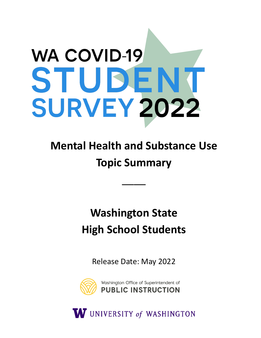# **WA COVID-19** STUDEN **SURVEY 2022**

# **Mental Health and Substance Use Topic Summary**

\_\_\_\_

## **Washington State High School Students**

Release Date: May 2022



W UNIVERSITY of WASHINGTON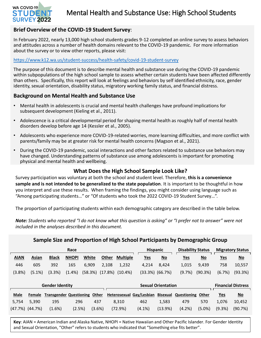

## Mental Health and Substance Use: High School Students

## **Brief Overview of the COVID-19 Student Survey**:

In February 2022, nearly 13,000 high school students grades 9-12 completed an online survey to assess behaviors and attitudes across a number of health domains relevant to the COVID-19 pandemic. For more information about the survey or to view other reports, please visit:

#### <https://www.k12.wa.us/student-success/health-safety/covid-19-student-survey>

The purpose of this document is to describe mental health and substance use during the COVID-19 pandemic within subpopulations of the high school sample to assess whether certain students have been affected differently than others. Specifically, this report will look at feelings and behaviors by self identified ethnicity, race, gender identity, sexual orientation, disability status, migratory working family status, and financial distress.

## **Background on Mental Health and Substance Use**

- Mental health in adolescents is crucial and mental health challenges have profound implications for subsequent development (Kieling et al., 2011).
- Adolescence is a critical developmental period for shaping mental health as roughly half of mental health disorders develop before age 14 (Kessler et al., 2005).
- Adolescents who experience more COVID-19-related worries, more learning difficulties, and more conflict with parents/family may be at greater risk for mental health concerns (Magson et al., 2021).
- During the COVID-19 pandemic, social interactions and other factors related to substance use behaviors may have changed. Understanding patterns of substance use among adolescents is important for promoting physical and mental health and wellbeing.

## **What Does the High School Sample Look Like?**

Survey participation was voluntary at both the school and student level. Therefore, **this is a convenience sample and is not intended to be generalized to the state population**. It is important to be thoughtful in how you interpret and use these results. When framing the findings, you might consider using language such as "Among participating students…" or "Of students who took the 2022 COVID-19 Student Survey…".

The proportion of participating students within each demographic category are described in the table below.

*Note: Students who reported "I do not know what this question is asking" or "I prefer not to answer" were not included in the analyses described in this document.* 

| Sample Size and Proportion of High School Participants by Demographic Group |                       |                                |              |         |              |                 |  |                           |                           |                          |                           |                           |                           |  |
|-----------------------------------------------------------------------------|-----------------------|--------------------------------|--------------|---------|--------------|-----------------|--|---------------------------|---------------------------|--------------------------|---------------------------|---------------------------|---------------------------|--|
| Race                                                                        |                       |                                |              |         |              |                 |  | <b>Hispanic</b>           |                           | <b>Disability Status</b> |                           | <b>Migratory Status</b>   |                           |  |
| <b>AIAN</b>                                                                 | <b>Asian</b>          | <b>Black</b>                   | <b>NHOPI</b> | White   | <b>Other</b> | <b>Multiple</b> |  | <u>Yes</u>                | $\underline{\mathsf{No}}$ | <u>Yes</u>               | $\underline{\mathsf{No}}$ | <u>Yes</u>                | $\underline{\mathsf{No}}$ |  |
| 446                                                                         | 605                   | 392                            | 165          | 6,909   | 2,108        | 1,232           |  | 4.214                     | 8,424                     | 1,015                    | 9,439                     | 758                       | 10,557                    |  |
| (3.8%)                                                                      | $(5.1\%)$             | (3.3%)                         | $(1.4\%)$    | (58.3%) | (17.8%)      | $(10.4\%)$      |  | $(33.3\%)$ $(66.7\%)$     |                           | (9.7%)                   | (90.3%)                   | (6.7%)                    | (93.3%)                   |  |
|                                                                             |                       |                                |              |         |              |                 |  |                           |                           |                          |                           |                           |                           |  |
| <b>Gender Identity</b>                                                      |                       |                                |              |         |              |                 |  | <b>Sexual Orientation</b> |                           |                          |                           | <b>Financial Distress</b> |                           |  |
| <b>Male</b>                                                                 | Female                | <b>Transgender Questioning</b> |              | Other   |              |                 |  | Heterosexual Gay/Lesbian  | <b>Bisexual</b>           | <b>Questioning</b>       | Other                     | <u>Yes</u>                | $\underline{\mathsf{No}}$ |  |
| 5,754                                                                       | 5,390                 | 195                            | 296          | 437     |              | 8.310           |  | 462                       | 1,583                     | 479                      | 570                       | 1,076                     | 10,452                    |  |
|                                                                             | $(47.7\%)$ $(44.7\%)$ | (1.6%)                         | (2.5%)       | (3.6%)  |              | (72.9%)         |  | $(4.1\%)$                 | (13.9%)                   | (4.2%)                   | $(5.0\%)$                 | (9.3%)                    | (90.7%)                   |  |

**Key**: AIAN = American Indian and Alaska Native, NHOPI = Native Hawaiian and Other Pacific Islander. For Gender Identity and Sexual Orientation, "Other" refers to students who indicated that "Something else fits better".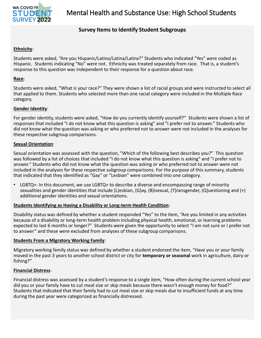

## **Survey Items to Identify Student Subgroups**

## **Ethnicity**:

Students were asked, "Are you Hispanic/Latino/Latina/Latinx?" Students who indicated "Yes" were coded as Hispanic. Students indicating "No" were not. Ethnicity was treated separately from race. That is, a student's response to this question was independent to their response for a question about race.

## **Race**:

Students were asked, "What is your race?" They were shown a list of racial groups and were instructed to select all that applied to them. Students who selected more than one racial category were included in the Multiple Race category.

## **Gender Identity**:

For gender identity, students were asked, "How do you currently identify yourself?" Students were shown a list of responses that included "I do not know what this question is asking" and "I prefer not to answer." Students who did not know what the question was asking or who preferred not to answer were not included in the analyses for these respective subgroup comparisons.

## **Sexual Orientation**:

Sexual orientation was assessed with the question, "Which of the following best describes you?" This question was followed by a list of choices that included "I do not know what this question is asking" and "I prefer not to answer." Students who did not know what the question was asking or who preferred not to answer were not included in the analyses for these respective subgroup comparisons. For the purpose of this summary, students that indicated that they identified as "Gay" or "Lesbian" were combined into one category.

LGBTQ+: In this document, we use LGBTQ+ to describe a diverse and encompassing range of minority sexualities and gender identities that include (L)esbian, (G)ay, (B)isexual, (T)ransgender, (Q)uestioning and (+) additional gender identities and sexual orientations.

## **Students Identifying as Having a Disability or Long-term Health Condition**:

Disability status was defined by whether a student responded "Yes" to the item, "Are you limited in any activities because of a disability or long-term health problem including physical health, emotional, or learning problems expected to last 6 months or longer?" Students were given the opportunity to select "I am not sure or I prefer not to answer" and these were excluded from analyses of these subgroup comparisons.

## **Students From a Migratory Working Family**:

Migratory working family status was defined by whether a student endorsed the item, "Have you or your family moved in the past 3 years to another school district or city for **temporary or seasonal** work in agriculture, dairy or fishing?"

## **Financial Distress**:

Financial distress was assessed by a student's response to a single item, "How often during the current school year did you or your family have to cut meal size or skip meals because there wasn't enough money for food?" Students that indicated that their family had to cut meal size or skip meals due to insufficient funds at any time during the past year were categorized as financially distressed.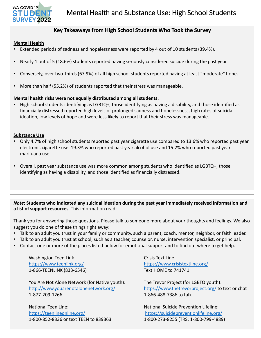

## **Key Takeaways from High School Students Who Took the Survey**

## **Mental Health**

- Extended periods of sadness and hopelessness were reported by 4 out of 10 students (39.4%).
- Nearly 1 out of 5 (18.6%) students reported having seriously considered suicide during the past year.
- Conversely, over two-thirds (67.9%) of all high school students reported having at least "moderate" hope.
- More than half (55.2%) of students reported that their stress was manageable.

## **Mental health risks were not equally distributed among all students**.

• High school students identifying as LGBTQ+, those identifying as having a disability, and those identified as financially distressed reported high levels of prolonged sadness and hopelessness, high rates of suicidal ideation, low levels of hope and were less likely to report that their stress was manageable.

## **Substance Use**

- Only 4.7% of high school students reported past year cigarette use compared to 13.6% who reported past year electronic cigarette use, 19.3% who reported past year alcohol use and 15.2% who reported past year marijuana use.
- Overall, past year substance use was more common among students who identified as LGBTQ+, those identifying as having a disability, and those identified as financially distressed.

*Note***: Students who indicated any suicidal ideation during the past year immediately received information and a list of support resources**. This information read:

Thank you for answering those questions. Please talk to someone more about your thoughts and feelings. We also suggest you do one of these things right away:

- Talk to an adult you trust in your family or community, such a parent, coach, mentor, neighbor, or faith leader.
- Talk to an adult you trust at school, such as a teacher, counselor, nurse, intervention specialist, or principal.
- Contact one or more of the places listed below for emotional support and to find out where to get help.

Washington Teen Link <https://www.teenlink.org/> 1-866-TEENLINK (833-6546)

You Are Not Alone Network (for Native youth): <http://www.youarenotalonenetwork.org/> 1-877-209-1266

National Teen Line: <https://teenlineonline.org/> 1-800-852-8336 or text TEEN to 839363 Crisis Text Line <https://www.crisistextline.org/> Text HOME to 741741

The Trevor Project (for LGBTQ youth): <https://www.thetrevorproject.org/> to text or chat 1-866-488-7386 to talk

National Suicide Prevention Lifeline: <https://suicidepreventionlifeline.org/> 1-800-273-8255 (TRS: 1-800-799-4889)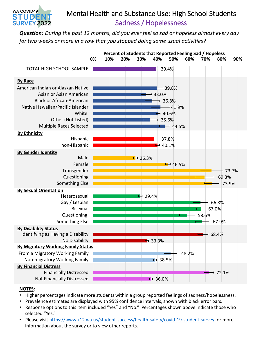## Mental Health and Substance Use: High School Students Sadness / Hopelessness

*Question: During the past 12 months, did you ever feel so sad or hopeless almost every day for two weeks or more in a row that you stopped doing some usual activities?*



## **NOTES:**

WA COVID-19 STUDEI **SURVEY 2022** 

- Higher percentages indicate more students within a group reported feelings of sadness/hopelessness.
- Prevalence estimates are displayed with 95% confidence intervals, shown with black error bars.
- Response options to this item included "Yes" and "No." Percentages shown above indicate those who selected "Yes."
- Please visit <https://www.k12.wa.us/student-success/health-safety/covid-19-student-survey> for more information about the survey or to view other reports.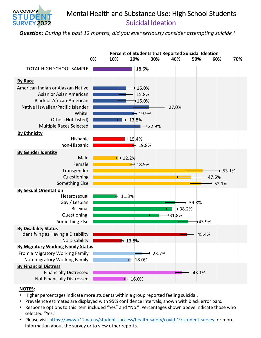

## Mental Health and Substance Use: High School Students Suicidal Ideation

*Question: During the past 12 months, did you ever seriously consider attempting suicide?*



- Higher percentages indicate more students within a group reported feeling suicidal.
- Prevalence estimates are displayed with 95% confidence intervals, shown with black error bars.
- Response options to this item included "Yes" and "No." Percentages shown above indicate those who selected "Yes."
- Please visit <https://www.k12.wa.us/student-success/health-safety/covid-19-student-survey> for more information about the survey or to view other reports.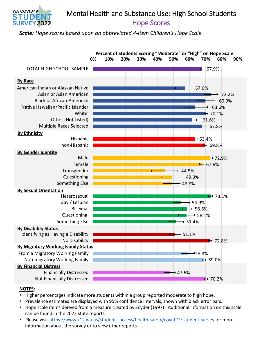

## Hope Scores Mental Health and Substance Use: High School Students

*Scale: Hope scores based upon an abbreviated 4-item Children's Hope Scale.*



- Higher percentages indicate more students within a group reported moderate to high hope.
- Prevalence estimates are displayed with 95% confidence intervals, shown with black error bars.
- Hope scale items derived from a measure created by Snyder (1997). Additional information on this scale can be found in the 2022 state reports.
- Please visit <https://www.k12.wa.us/student-success/health-safety/covid-19-student-survey> for more information about the survey or to view other reports.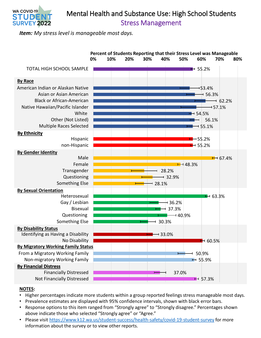

## Stress Management Mental Health and Substance Use: High School Students

*Item: My stress level is manageable most days.*



- Higher percentages indicate more students within a group reported feelings stress manageable most days.
- Prevalence estimates are displayed with 95% confidence intervals, shown with black error bars.
- Response options to this item ranged from "Strongly agree" to "Strongly disagree." Percentages shown above indicate those who selected "Strongly agree" or "Agree."
- Please visit <https://www.k12.wa.us/student-success/health-safety/covid-19-student-survey> for more information about the survey or to view other reports.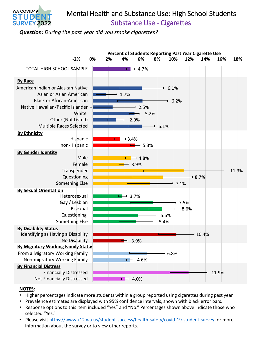

## Substance Use - Cigarettes Mental Health and Substance Use: High School Students

*Question: During the past year did you smoke cigarettes?*



- Higher percentages indicate more students within a group reported using cigarettes during past year.
- Prevalence estimates are displayed with 95% confidence intervals, shown with black error bars.
- Response options to this item included "Yes" and "No." Percentages shown above indicate those who selected "Yes."
- Please visit <https://www.k12.wa.us/student-success/health-safety/covid-19-student-survey> for more information about the survey or to view other reports.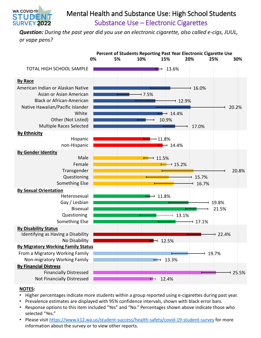

## Substance Use – Electronic Cigarettes Mental Health and Substance Use: High School Students

*Question: During the past year did you use an electronic cigarette, also called e-cigs, JUUL, or vape pens?*



- Higher percentages indicate more students within a group reported using e-cigarettes during past year.
- Prevalence estimates are displayed with 95% confidence intervals, shown with black error bars.
- Response options to this item included "Yes" and "No." Percentages shown above indicate those who selected "Yes."
- Please visit <https://www.k12.wa.us/student-success/health-safety/covid-19-student-survey> for more information about the survey or to view other reports.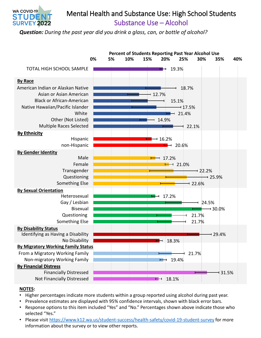

## Substance Use – Alcohol Mental Health and Substance Use: High School Students

*Question: During the past year did you drink a glass, can, or bottle of alcohol?*



- Higher percentages indicate more students within a group reported using alcohol during past year.
- Prevalence estimates are displayed with 95% confidence intervals, shown with black error bars.
- Response options to this item included "Yes" and "No." Percentages shown above indicate those who selected "Yes."
- Please visit <https://www.k12.wa.us/student-success/health-safety/covid-19-student-survey> for more information about the survey or to view other reports.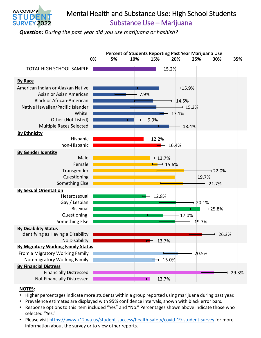

## Mental Health and Substance Use: High School Students

Substance Use – Marijuana

*Question: During the past year did you use marijuana or hashish?*



- Higher percentages indicate more students within a group reported using marijuana during past year.
- Prevalence estimates are displayed with 95% confidence intervals, shown with black error bars.
- Response options to this item included "Yes" and "No." Percentages shown above indicate those who selected "Yes."
- Please visit <https://www.k12.wa.us/student-success/health-safety/covid-19-student-survey> for more information about the survey or to view other reports.